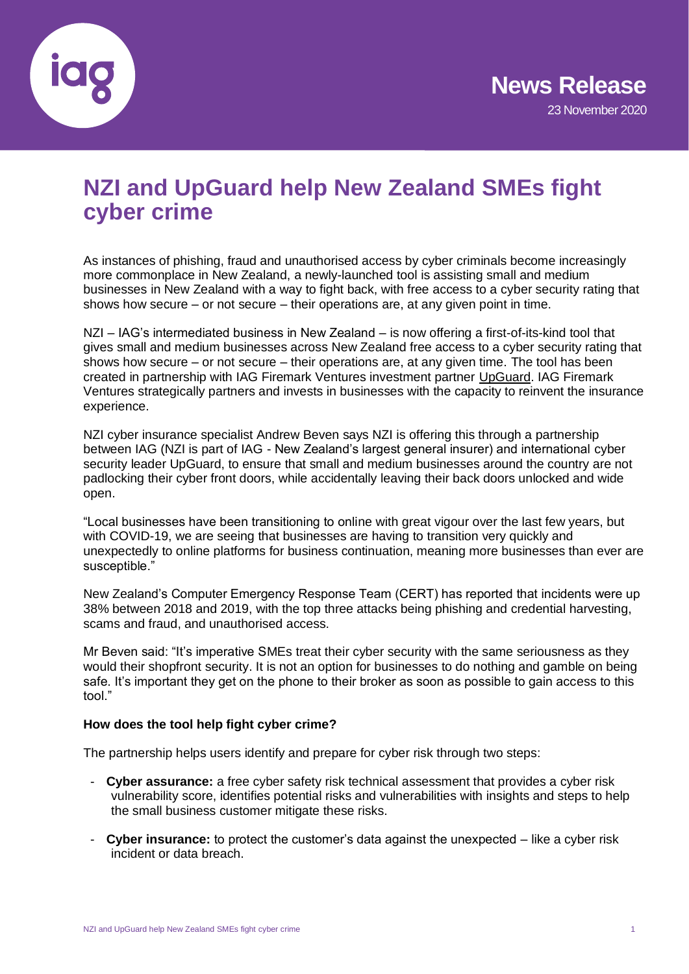

# **NZI and UpGuard help New Zealand SMEs fight cyber crime**

As instances of phishing, fraud and unauthorised access by cyber criminals become increasingly more commonplace in New Zealand, a newly-launched tool is assisting small and medium businesses in New Zealand with a way to fight back, with free access to a cyber security rating that shows how secure – or not secure – their operations are, at any given point in time.

NZI – IAG's intermediated business in New Zealand – is now offering a first-of-its-kind tool that gives small and medium businesses across New Zealand free access to a cyber security rating that shows how secure – or not secure – their operations are, at any given time. The tool has been created in partnership with IAG Firemark Ventures investment partner [UpGuard.](https://www.upguard.com/) IAG Firemark Ventures strategically partners and invests in businesses with the capacity to reinvent the insurance experience.

NZI cyber insurance specialist Andrew Beven says NZI is offering this through a partnership between IAG (NZI is part of IAG - New Zealand's largest general insurer) and international cyber security leader UpGuard, to ensure that small and medium businesses around the country are not padlocking their cyber front doors, while accidentally leaving their back doors unlocked and wide open.

"Local businesses have been transitioning to online with great vigour over the last few years, but with COVID-19, we are seeing that businesses are having to transition very quickly and unexpectedly to online platforms for business continuation, meaning more businesses than ever are susceptible."

New Zealand's Computer Emergency Response Team (CERT) has reported that incidents were up 38% between 2018 and 2019, with the top three attacks being phishing and credential harvesting, scams and fraud, and unauthorised access.

Mr Beven said: "It's imperative SMEs treat their cyber security with the same seriousness as they would their shopfront security. It is not an option for businesses to do nothing and gamble on being safe. It's important they get on the phone to their broker as soon as possible to gain access to this tool."

## **How does the tool help fight cyber crime?**

The partnership helps users identify and prepare for cyber risk through two steps:

- **Cyber assurance:** a free cyber safety risk technical assessment that provides a cyber risk vulnerability score, identifies potential risks and vulnerabilities with insights and steps to help the small business customer mitigate these risks.
- **Cyber insurance:** to protect the customer's data against the unexpected like a cyber risk incident or data breach.